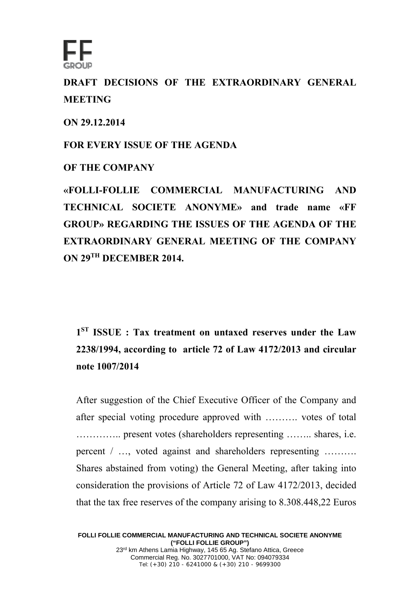

**DRAFT DECISIONS OF THE EXTRAORDINARY GENERAL MEETING** 

**ON 29.12.2014** 

**FOR EVERY ISSUE OF THE AGENDA** 

**OF THE COMPANY** 

**«FOLLI-FOLLIE COMMERCIAL MANUFACTURING AND TECHNICAL SOCIETE ANONYME» and trade name «FF GROUP» REGARDING THE ISSUES OF THE AGENDA OF THE EXTRAORDINARY GENERAL MEETING OF THE COMPANY ON 29TH DECEMBER 2014.** 

**1ST ISSUE : Tax treatment on untaxed reserves under the Law 2238/1994, according to article 72 of Law 4172/2013 and circular note 1007/2014** 

After suggestion of the Chief Executive Officer of the Company and after special voting procedure approved with ………. votes of total ………….. present votes (shareholders representing …….. shares, i.e. percent / …, voted against and shareholders representing ………. Shares abstained from voting) the General Meeting, after taking into consideration the provisions of Article 72 of Law 4172/2013, decided that the tax free reserves of the company arising to 8.308.448,22 Euros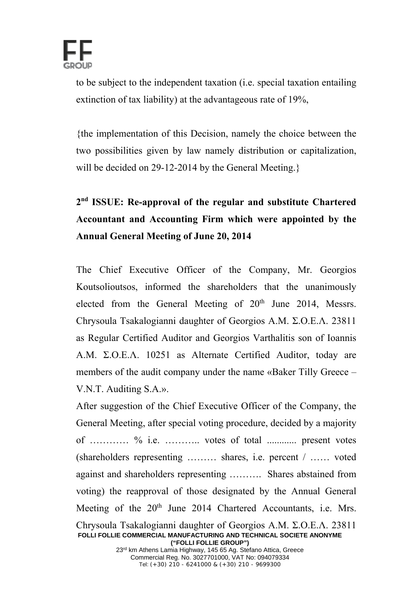

to be subject to the independent taxation (i.e. special taxation entailing extinction of tax liability) at the advantageous rate of 19%,

{the implementation of this Decision, namely the choice between the two possibilities given by law namely distribution or capitalization, will be decided on 29-12-2014 by the General Meeting.}

## **2nd ISSUE: Re-approval of the regular and substitute Chartered Accountant and Accounting Firm which were appointed by the Annual General Meeting of June 20, 2014**

The Chief Executive Officer of the Company, Mr. Georgios Koutsolioutsos, informed the shareholders that the unanimously elected from the General Meeting of 20<sup>th</sup> June 2014, Messrs. Chrysoula Tsakalogianni daughter of Georgios Α.Μ. Σ.Ο.Ε.Λ. 23811 as Regular Certified Auditor and Georgios Varthalitis son of Ioannis Α.Μ. Σ.Ο.Ε.Λ. 10251 as Alternate Certified Auditor, today are members of the audit company under the name «Baker Tilly Greece – V.N.T. Auditing S.A.».

After suggestion of the Chief Executive Officer of the Company, the General Meeting, after special voting procedure, decided by a majority of ………… % i.e. ……….. votes of total ............ present votes (shareholders representing ……… shares, i.e. percent / …… voted against and shareholders representing ………. Shares abstained from voting) the reapproval of those designated by the Annual General Meeting of the 20<sup>th</sup> June 2014 Chartered Accountants, i.e. Mrs. Chrysoula Tsakalogianni daughter of Georgios Α.Μ. Σ.Ο.Ε.Λ. 23811

**FOLLI FOLLIE COMMERCIAL MANUFACTURING AND TECHNICAL SOCIETE ANONYME ("FOLLI FOLLIE GROUP")** 

23<sup>rd</sup> km Athens Lamia Highway, 145 65 Ag. Stefano Attica, Greece Commercial Reg. No. 3027701000, VAT No: 094079334 Tel: (+30) 210 - 6241000 & (+30) 210 - 9699300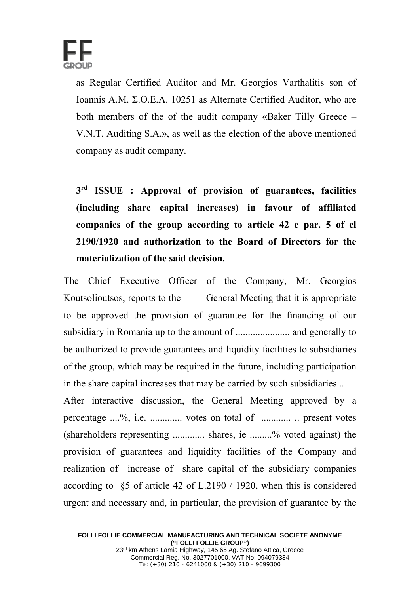

as Regular Certified Auditor and Mr. Georgios Varthalitis son of Ioannis Α.Μ. Σ.Ο.Ε.Λ. 10251 as Alternate Certified Auditor, who are both members of the of the audit company «Baker Tilly Greece – V.N.T. Auditing S.A.», as well as the election of the above mentioned company as audit company.

**3rd ISSUE : Approval of provision of guarantees, facilities (including share capital increases) in favour of affiliated companies of the group according to article 42 e par. 5 of cl 2190/1920 and authorization to the Board of Directors for the materialization of the said decision.** 

The Chief Executive Officer of the Company, Mr. Georgios Koutsolioutsos, reports to the General Meeting that it is appropriate to be approved the provision of guarantee for the financing of our subsidiary in Romania up to the amount of ...................... and generally to be authorized to provide guarantees and liquidity facilities to subsidiaries of the group, which may be required in the future, including participation in the share capital increases that may be carried by such subsidiaries ..

After interactive discussion, the General Meeting approved by a percentage ....%, i.e. ............. votes on total of ............ .. present votes (shareholders representing ............. shares, ie .........% voted against) the provision of guarantees and liquidity facilities of the Company and realization of increase of share capital of the subsidiary companies according to §5 of article 42 of L.2190 / 1920, when this is considered urgent and necessary and, in particular, the provision of guarantee by the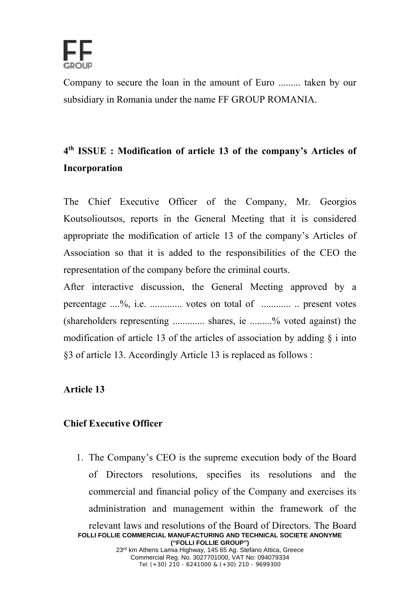

Company to secure the loan in the amount of Euro ......... taken by our subsidiary in Romania under the name FF GROUP ROMANIA.

## **4th ISSUE : Modification of article 13 οf the company's Articles of Incorporation**

The Chief Executive Officer of the Company, Mr. Georgios Koutsolioutsos, reports in the General Meeting that it is considered appropriate the modification of article 13 of the company's Articles of Association so that it is added to the responsibilities of the CEO the representation of the company before the criminal courts.

After interactive discussion, the General Meeting approved by a percentage ....%, i.e. ............. votes on total of ............ .. present votes (shareholders representing ............. shares, ie .........% voted against) the modification of article 13 of the articles of association by adding  $\delta$  i into §3 of article 13. Accordingly Article 13 is replaced as follows :

## **Article 13**

## **Chief Executive Officer**

1. The Company's CEO is the supreme execution body of the Board of Directors resolutions, specifies its resolutions and the commercial and financial policy of the Company and exercises its administration and management within the framework of the relevant laws and resolutions of the Board of Directors. The Board

**FOLLI FOLLIE COMMERCIAL MANUFACTURING AND TECHNICAL SOCIETE ANONYME ("FOLLI FOLLIE GROUP")**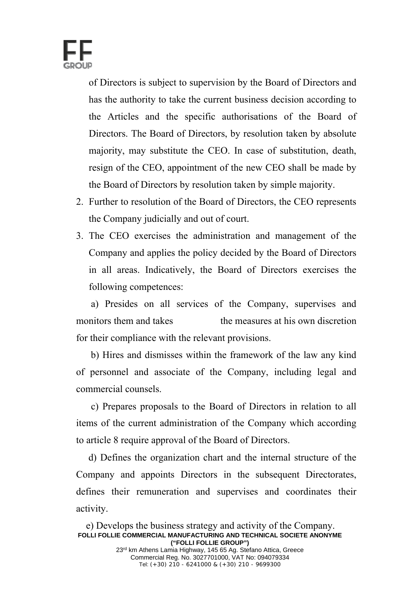

of Directors is subject to supervision by the Board of Directors and has the authority to take the current business decision according to the Articles and the specific authorisations of the Board of Directors. The Board of Directors, by resolution taken by absolute majority, may substitute the CEO. In case of substitution, death, resign of the CEO, appointment of the new CEO shall be made by the Board of Directors by resolution taken by simple majority.

- 2. Further to resolution of the Board of Directors, the CEO represents the Company judicially and out of court.
- 3. The CEO exercises the administration and management of the Company and applies the policy decided by the Board of Directors in all areas. Indicatively, the Board of Directors exercises the following competences:

 a) Presides on all services of the Company, supervises and monitors them and takes the measures at his own discretion for their compliance with the relevant provisions.

 b) Hires and dismisses within the framework of the law any kind of personnel and associate of the Company, including legal and commercial counsels.

 c) Prepares proposals to the Board of Directors in relation to all items of the current administration of the Company which according to article 8 require approval of the Board of Directors.

 d) Defines the organization chart and the internal structure of the Company and appoints Directors in the subsequent Directorates, defines their remuneration and supervises and coordinates their activity.

Tel: (+30) 210 - 6241000 & (+30) 210 - 9699300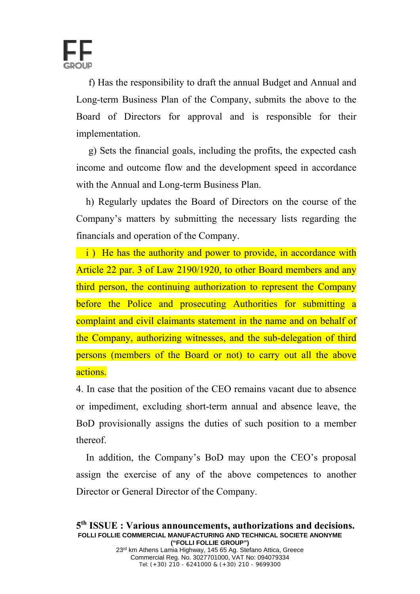

 f) Has the responsibility to draft the annual Budget and Annual and Long-term Business Plan of the Company, submits the above to the Board of Directors for approval and is responsible for their implementation.

 g) Sets the financial goals, including the profits, the expected cash income and outcome flow and the development speed in accordance with the Annual and Long-term Business Plan.

 h) Regularly updates the Board of Directors on the course of the Company's matters by submitting the necessary lists regarding the financials and operation of the Company.

i) He has the authority and power to provide, in accordance with Article 22 par. 3 of Law 2190/1920, to other Board members and any third person, the continuing authorization to represent the Company before the Police and prosecuting Authorities for submitting a complaint and civil claimants statement in the name and on behalf of the Company, authorizing witnesses, and the sub-delegation of third persons (members of the Board or not) to carry out all the above actions.

4. In case that the position of the CEO remains vacant due to absence or impediment, excluding short-term annual and absence leave, the BoD provisionally assigns the duties of such position to a member thereof.

 In addition, the Company's BoD may upon the CEO's proposal assign the exercise of any of the above competences to another Director or General Director of the Company.